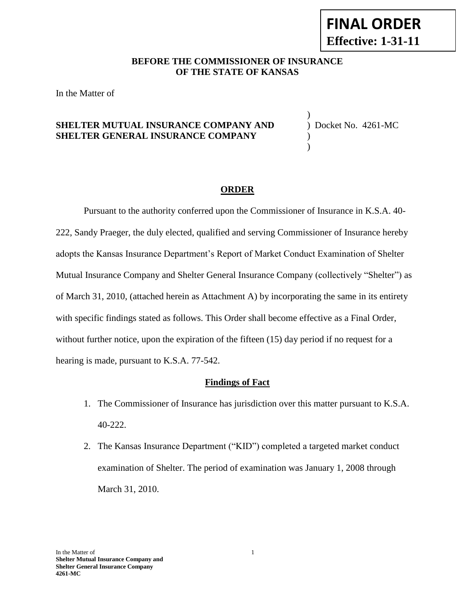#### **BEFORE THE COMMISSIONER OF INSURANCE OF THE STATE OF KANSAS**

In the Matter of

# **SHELTER MUTUAL INSURANCE COMPANY AND** ) Docket No. 4261-MC **SHELTER GENERAL INSURANCE COMPANY** )

)

)

#### **ORDER**

Pursuant to the authority conferred upon the Commissioner of Insurance in K.S.A. 40- 222, Sandy Praeger, the duly elected, qualified and serving Commissioner of Insurance hereby adopts the Kansas Insurance Department's Report of Market Conduct Examination of Shelter Mutual Insurance Company and Shelter General Insurance Company (collectively "Shelter") as of March 31, 2010, (attached herein as Attachment A) by incorporating the same in its entirety with specific findings stated as follows. This Order shall become effective as a Final Order, without further notice, upon the expiration of the fifteen (15) day period if no request for a hearing is made, pursuant to K.S.A. 77-542.

#### **Findings of Fact**

- 1. The Commissioner of Insurance has jurisdiction over this matter pursuant to K.S.A. 40-222.
- 2. The Kansas Insurance Department ("KID") completed a targeted market conduct examination of Shelter. The period of examination was January 1, 2008 through March 31, 2010.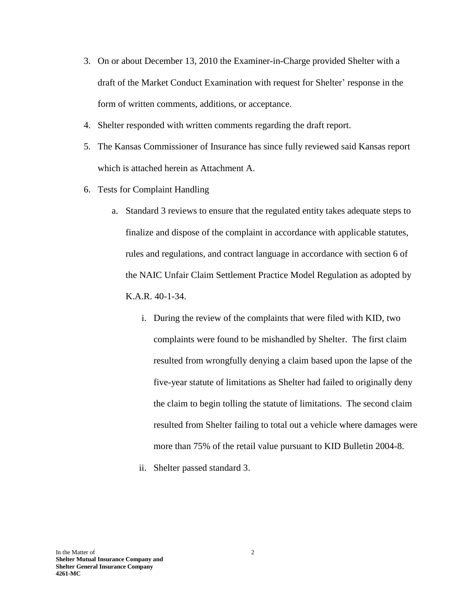- 3. On or about December 13, 2010 the Examiner-in-Charge provided Shelter with a draft of the Market Conduct Examination with request for Shelter' response in the form of written comments, additions, or acceptance.
- 4. Shelter responded with written comments regarding the draft report.
- 5. The Kansas Commissioner of Insurance has since fully reviewed said Kansas report which is attached herein as Attachment A.
- 6. Tests for Complaint Handling
	- a. Standard 3 reviews to ensure that the regulated entity takes adequate steps to finalize and dispose of the complaint in accordance with applicable statutes, rules and regulations, and contract language in accordance with section 6 of the NAIC Unfair Claim Settlement Practice Model Regulation as adopted by K.A.R. 40-1-34.
		- i. During the review of the complaints that were filed with KID, two complaints were found to be mishandled by Shelter. The first claim resulted from wrongfully denying a claim based upon the lapse of the five-year statute of limitations as Shelter had failed to originally deny the claim to begin tolling the statute of limitations. The second claim resulted from Shelter failing to total out a vehicle where damages were more than 75% of the retail value pursuant to KID Bulletin 2004-8.
		- ii. Shelter passed standard 3.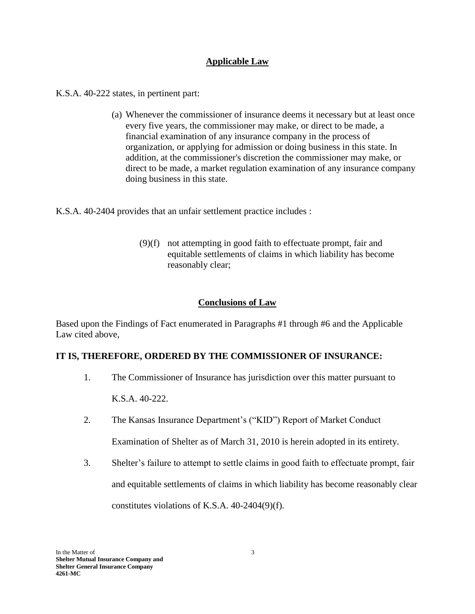## **Applicable Law**

K.S.A. 40-222 states, in pertinent part:

(a) Whenever the commissioner of insurance deems it necessary but at least once every five years, the commissioner may make, or direct to be made, a financial examination of any insurance company in the process of organization, or applying for admission or doing business in this state. In addition, at the commissioner's discretion the commissioner may make, or direct to be made, a market regulation examination of any insurance company doing business in this state.

K.S.A. 40-2404 provides that an unfair settlement practice includes :

(9)(f) not attempting in good faith to effectuate prompt, fair and equitable settlements of claims in which liability has become reasonably clear;

# **Conclusions of Law**

Based upon the Findings of Fact enumerated in Paragraphs #1 through #6 and the Applicable Law cited above,

### **IT IS, THEREFORE, ORDERED BY THE COMMISSIONER OF INSURANCE:**

1. The Commissioner of Insurance has jurisdiction over this matter pursuant to

K.S.A. 40-222.

- 2. The Kansas Insurance Department's ("KID") Report of Market Conduct Examination of Shelter as of March 31, 2010 is herein adopted in its entirety.
- 3. Shelter's failure to attempt to settle claims in good faith to effectuate prompt, fair and equitable settlements of claims in which liability has become reasonably clear constitutes violations of K.S.A. 40-2404(9)(f).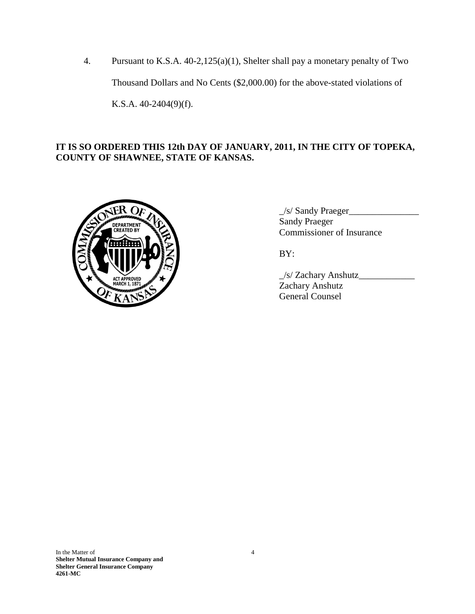4. Pursuant to K.S.A. 40-2,125(a)(1), Shelter shall pay a monetary penalty of Two Thousand Dollars and No Cents (\$2,000.00) for the above-stated violations of K.S.A. 40-2404(9)(f).

# **IT IS SO ORDERED THIS 12th DAY OF JANUARY, 2011, IN THE CITY OF TOPEKA, COUNTY OF SHAWNEE, STATE OF KANSAS.**



\_/s/ Sandy Praeger\_\_\_\_\_\_\_\_\_\_\_\_\_\_\_ Sandy Praeger Commissioner of Insurance

BY:

\_/s/ Zachary Anshutz\_\_\_\_\_\_\_\_\_\_\_\_ Zachary Anshutz General Counsel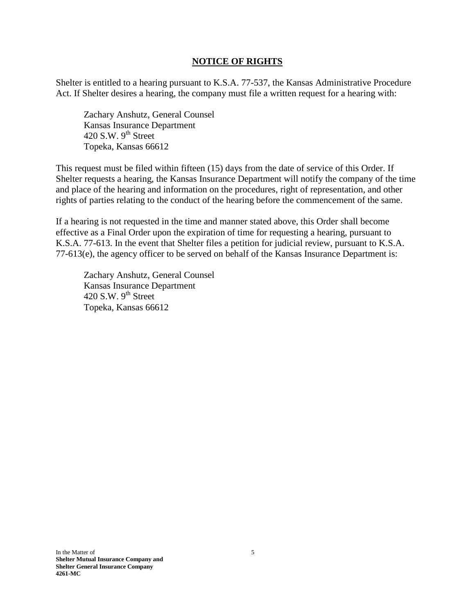#### **NOTICE OF RIGHTS**

Shelter is entitled to a hearing pursuant to K.S.A. 77-537, the Kansas Administrative Procedure Act. If Shelter desires a hearing, the company must file a written request for a hearing with:

Zachary Anshutz, General Counsel Kansas Insurance Department 420 S.W.  $9<sup>th</sup>$  Street Topeka, Kansas 66612

This request must be filed within fifteen (15) days from the date of service of this Order. If Shelter requests a hearing, the Kansas Insurance Department will notify the company of the time and place of the hearing and information on the procedures, right of representation, and other rights of parties relating to the conduct of the hearing before the commencement of the same.

If a hearing is not requested in the time and manner stated above, this Order shall become effective as a Final Order upon the expiration of time for requesting a hearing, pursuant to K.S.A. 77-613. In the event that Shelter files a petition for judicial review, pursuant to K.S.A. 77-613(e), the agency officer to be served on behalf of the Kansas Insurance Department is:

Zachary Anshutz, General Counsel Kansas Insurance Department 420 S.W.  $9^{th}$  Street Topeka, Kansas 66612